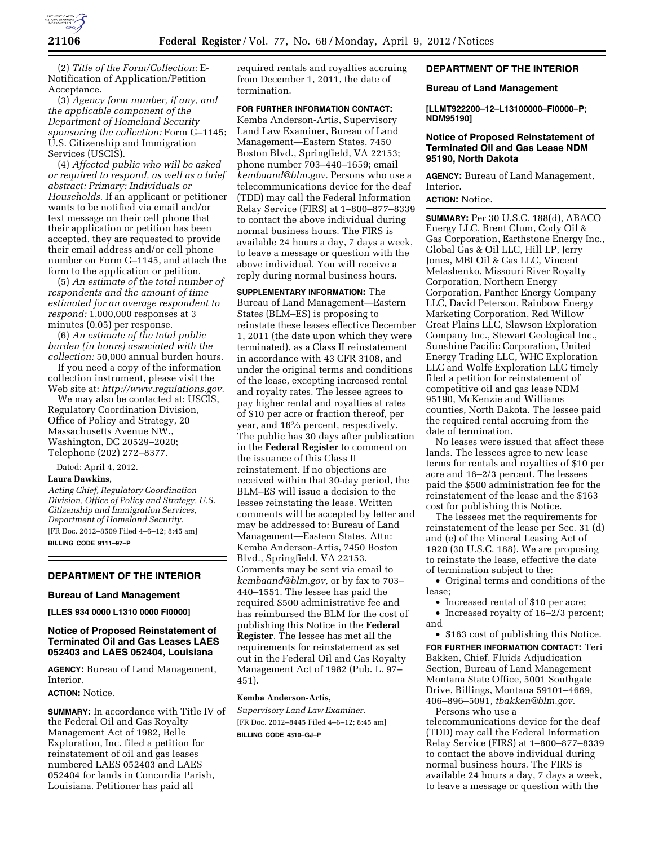

(2) *Title of the Form/Collection:* E-Notification of Application/Petition Acceptance.

(3) *Agency form number, if any, and the applicable component of the Department of Homeland Security sponsoring the collection:* Form G–1145; U.S. Citizenship and Immigration Services (USCIS).

(4) *Affected public who will be asked or required to respond, as well as a brief abstract: Primary: Individuals or Households.* If an applicant or petitioner wants to be notified via email and/or text message on their cell phone that their application or petition has been accepted, they are requested to provide their email address and/or cell phone number on Form G–1145, and attach the form to the application or petition.

(5) *An estimate of the total number of respondents and the amount of time estimated for an average respondent to respond:* 1,000,000 responses at 3 minutes (0.05) per response.

(6) *An estimate of the total public burden (in hours) associated with the collection:* 50,000 annual burden hours.

If you need a copy of the information collection instrument, please visit the Web site at: *[http://www.regulations.gov.](http://www.regulations.gov)* 

We may also be contacted at: USCIS, Regulatory Coordination Division, Office of Policy and Strategy, 20 Massachusetts Avenue NW., Washington, DC 20529–2020; Telephone (202) 272–8377.

Dated: April 4, 2012.

## **Laura Dawkins,**

*Acting Chief, Regulatory Coordination Division, Office of Policy and Strategy, U.S. Citizenship and Immigration Services, Department of Homeland Security.*  [FR Doc. 2012–8509 Filed 4–6–12; 8:45 am]

**BILLING CODE 9111–97–P** 

# **DEPARTMENT OF THE INTERIOR**

#### **Bureau of Land Management**

**[LLES 934 0000 L1310 0000 FI0000]** 

## **Notice of Proposed Reinstatement of Terminated Oil and Gas Leases LAES 052403 and LAES 052404, Louisiana**

**AGENCY:** Bureau of Land Management, Interior.

### **ACTION:** Notice.

**SUMMARY:** In accordance with Title IV of the Federal Oil and Gas Royalty Management Act of 1982, Belle Exploration, Inc. filed a petition for reinstatement of oil and gas leases numbered LAES 052403 and LAES 052404 for lands in Concordia Parish, Louisiana. Petitioner has paid all

required rentals and royalties accruing from December 1, 2011, the date of termination.

## **FOR FURTHER INFORMATION CONTACT:**

Kemba Anderson-Artis, Supervisory Land Law Examiner, Bureau of Land Management—Eastern States, 7450 Boston Blvd., Springfield, VA 22153; phone number 703–440–1659; email *[kembaand@blm.gov.](mailto:kembaand@blm.gov)* Persons who use a telecommunications device for the deaf (TDD) may call the Federal Information Relay Service (FIRS) at 1–800–877–8339 to contact the above individual during normal business hours. The FIRS is available 24 hours a day, 7 days a week, to leave a message or question with the above individual. You will receive a reply during normal business hours.

**SUPPLEMENTARY INFORMATION:** The Bureau of Land Management—Eastern States (BLM–ES) is proposing to reinstate these leases effective December 1, 2011 (the date upon which they were terminated), as a Class II reinstatement in accordance with 43 CFR 3108, and under the original terms and conditions of the lease, excepting increased rental and royalty rates. The lessee agrees to pay higher rental and royalties at rates of \$10 per acre or fraction thereof, per year, and 162⁄3 percent, respectively. The public has 30 days after publication in the **Federal Register** to comment on the issuance of this Class II reinstatement. If no objections are received within that 30-day period, the BLM–ES will issue a decision to the lessee reinstating the lease. Written comments will be accepted by letter and may be addressed to: Bureau of Land Management—Eastern States, Attn: Kemba Anderson-Artis, 7450 Boston Blvd., Springfield, VA 22153. Comments may be sent via email to *[kembaand@blm.gov,](mailto:kembaand@blm.gov)* or by fax to 703– 440–1551. The lessee has paid the required \$500 administrative fee and has reimbursed the BLM for the cost of publishing this Notice in the **Federal Register**. The lessee has met all the requirements for reinstatement as set out in the Federal Oil and Gas Royalty Management Act of 1982 (Pub. L. 97– 451).

#### **Kemba Anderson-Artis,**

*Supervisory Land Law Examiner.*  [FR Doc. 2012–8445 Filed 4–6–12; 8:45 am] **BILLING CODE 4310–GJ–P** 

**DEPARTMENT OF THE INTERIOR** 

#### **Bureau of Land Management**

**[LLMT922200–12–L13100000–FI0000–P; NDM95190]** 

## **Notice of Proposed Reinstatement of Terminated Oil and Gas Lease NDM 95190, North Dakota**

**AGENCY:** Bureau of Land Management, Interior.

**ACTION:** Notice.

**SUMMARY:** Per 30 U.S.C. 188(d), ABACO Energy LLC, Brent Clum, Cody Oil & Gas Corporation, Earthstone Energy Inc., Global Gas & Oil LLC, Hill LP, Jerry Jones, MBI Oil & Gas LLC, Vincent Melashenko, Missouri River Royalty Corporation, Northern Energy Corporation, Panther Energy Company LLC, David Peterson, Rainbow Energy Marketing Corporation, Red Willow Great Plains LLC, Slawson Exploration Company Inc., Stewart Geological Inc., Sunshine Pacific Corporation, United Energy Trading LLC, WHC Exploration LLC and Wolfe Exploration LLC timely filed a petition for reinstatement of competitive oil and gas lease NDM 95190, McKenzie and Williams counties, North Dakota. The lessee paid the required rental accruing from the date of termination.

No leases were issued that affect these lands. The lessees agree to new lease terms for rentals and royalties of \$10 per acre and 16–2/3 percent. The lessees paid the \$500 administration fee for the reinstatement of the lease and the \$163 cost for publishing this Notice.

The lessees met the requirements for reinstatement of the lease per Sec. 31 (d) and (e) of the Mineral Leasing Act of 1920 (30 U.S.C. 188). We are proposing to reinstate the lease, effective the date of termination subject to the:

• Original terms and conditions of the lease;

• Increased rental of \$10 per acre;

• Increased royalty of 16–2/3 percent; and

• \$163 cost of publishing this Notice. **FOR FURTHER INFORMATION CONTACT:** Teri Bakken, Chief, Fluids Adjudication Section, Bureau of Land Management Montana State Office, 5001 Southgate Drive, Billings, Montana 59101–4669, 406–896–5091, *[tbakken@blm.gov.](mailto:tbakken@blm.gov)* 

Persons who use a telecommunications device for the deaf (TDD) may call the Federal Information Relay Service (FIRS) at 1–800–877–8339 to contact the above individual during normal business hours. The FIRS is available 24 hours a day, 7 days a week, to leave a message or question with the